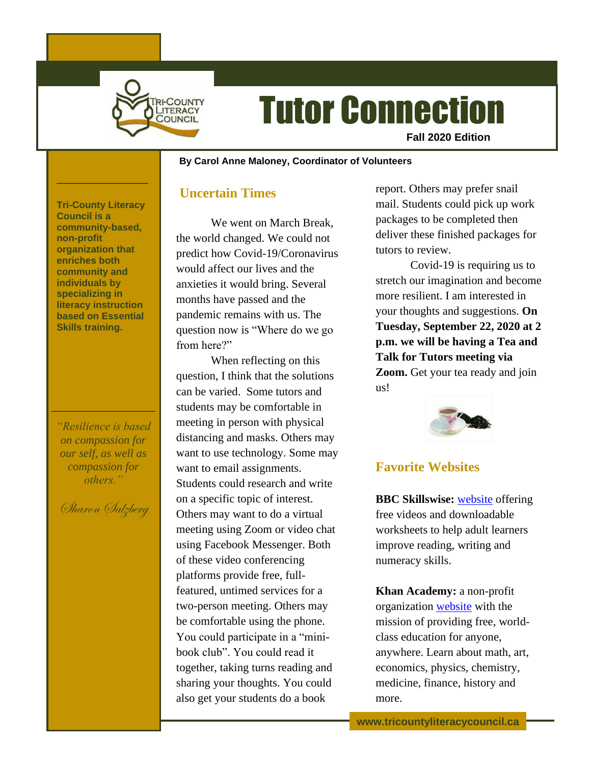

# Tutor Connection

**Fall 2020 Edition**

#### **~ By Carol Anne Maloney, Coordinator of Volunteers**

### **Uncertain Times**

We went on March Break, the world changed. We could not predict how Covid-19/Coronavirus would affect our lives and the anxieties it would bring. Several months have passed and the pandemic remains with us. The question now is "Where do we go from here?"

When reflecting on this question, I think that the solutions can be varied. Some tutors and students may be comfortable in meeting in person with physical distancing and masks. Others may want to use technology. Some may want to email assignments. Students could research and write on a specific topic of interest. Others may want to do a virtual meeting using Zoom or video chat using Facebook Messenger. Both of these video conferencing platforms provide free, fullfeatured, untimed services for a two-person meeting. Others may be comfortable using the phone. You could participate in a "minibook club". You could read it together, taking turns reading and sharing your thoughts. You could also get your students do a book

report. Others may prefer snail mail. Students could pick up work packages to be completed then deliver these finished packages for tutors to review.

Covid-19 is requiring us to stretch our imagination and become more resilient. I am interested in your thoughts and suggestions. **On Tuesday, September 22, 2020 at 2 p.m. we will be having a Tea and Talk for Tutors meeting via Zoom.** Get your tea ready and join us!



# **Favorite Websites**

**BBC Skillswise:** [website](https://www.bbc.co.uk/teach/skillswise) offering free videos and downloadable worksheets to help adult learners improve reading, writing and numeracy skills.

**Khan Academy:** a non-profit organization [website](https://www.khanacademy.org/) with the mission of providing free, worldclass education for anyone, anywhere. Learn about math, art, economics, physics, chemistry, medicine, finance, history and more.

**Tri-County Literacy Council is a community-based, non-profit organization that enriches both community and individuals by specializing in literacy instruction based on Essential Skills training.**

*"Resilience is based on compassion for our self, as well as compassion for others."*

Sharon Salzberg